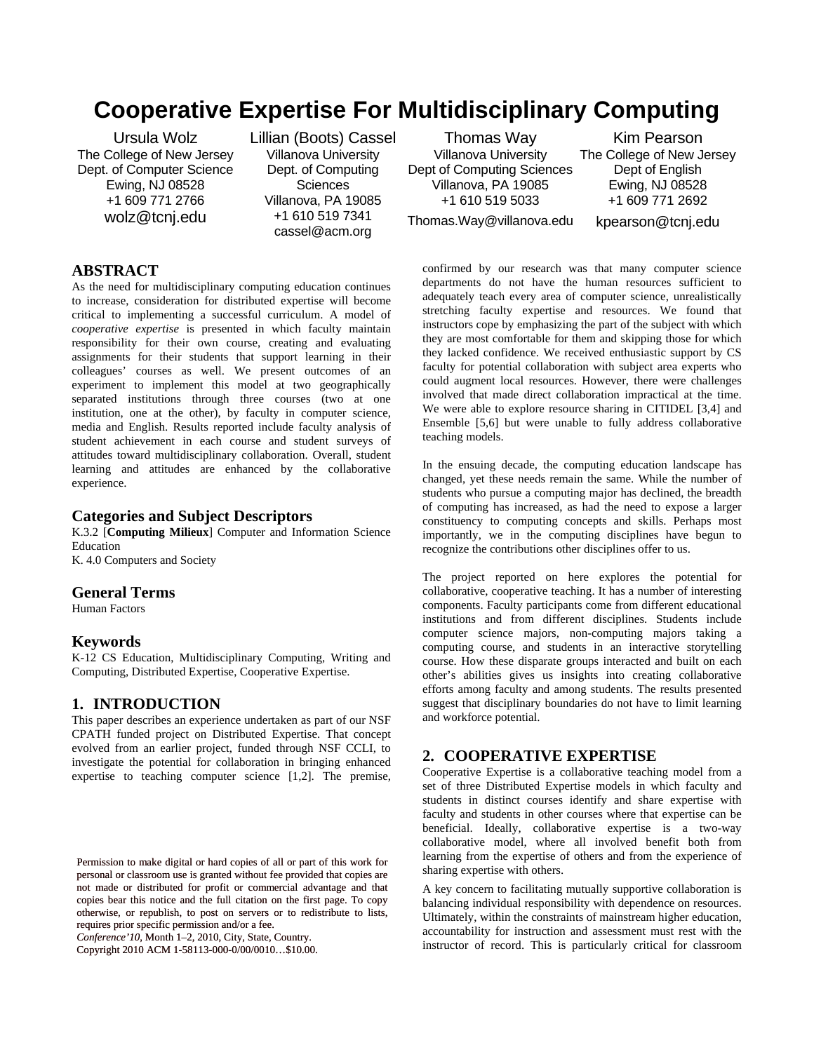# **Cooperative Expertise For Multidisciplinary Computing**

Ursula Wolz The College of New Jersey Dept. of Computer Science Ewing, NJ 08528 +1 609 771 2766 wolz@tcnj.edu

Lillian (Boots) Cassel Villanova University Dept. of Computing **Sciences** Villanova, PA 19085 +1 610 519 7341 cassel@acm.org

Thomas Way Villanova University Dept of Computing Sciences Villanova, PA 19085 +1 610 519 5033

Kim Pearson The College of New Jersey Dept of English Ewing, NJ 08528 +1 609 771 2692

Thomas.Way@villanova.edu

kpearson@tcnj.edu

# **ABSTRACT**

As the need for multidisciplinary computing education continues to increase, consideration for distributed expertise will become critical to implementing a successful curriculum. A model of *cooperative expertise* is presented in which faculty maintain responsibility for their own course, creating and evaluating assignments for their students that support learning in their colleagues' courses as well. We present outcomes of an experiment to implement this model at two geographically separated institutions through three courses (two at one institution, one at the other), by faculty in computer science, media and English. Results reported include faculty analysis of student achievement in each course and student surveys of attitudes toward multidisciplinary collaboration. Overall, student learning and attitudes are enhanced by the collaborative experience.

#### **Categories and Subject Descriptors**

K.3.2 [**Computing Milieux**] Computer and Information Science Education

K. 4.0 Computers and Society

## **General Terms**

Human Factors

#### **Keywords**

K-12 CS Education, Multidisciplinary Computing, Writing and Computing, Distributed Expertise, Cooperative Expertise.

#### **1. INTRODUCTION**

This paper describes an experience undertaken as part of our NSF CPATH funded project on Distributed Expertise. That concept evolved from an earlier project, funded through NSF CCLI, to investigate the potential for collaboration in bringing enhanced expertise to teaching computer science [1,2]. The premise,

*Conference'10*, Month 1–2, 2010, City, State, Country.

Copyright 2010 ACM 1-58113-000-0/00/0010…\$10.00.

confirmed by our research was that many computer science departments do not have the human resources sufficient to adequately teach every area of computer science, unrealistically stretching faculty expertise and resources. We found that instructors cope by emphasizing the part of the subject with which they are most comfortable for them and skipping those for which they lacked confidence. We received enthusiastic support by CS faculty for potential collaboration with subject area experts who could augment local resources. However, there were challenges involved that made direct collaboration impractical at the time. We were able to explore resource sharing in CITIDEL [3,4] and Ensemble [5,6] but were unable to fully address collaborative teaching models.

In the ensuing decade, the computing education landscape has changed, yet these needs remain the same. While the number of students who pursue a computing major has declined, the breadth of computing has increased, as had the need to expose a larger constituency to computing concepts and skills. Perhaps most importantly, we in the computing disciplines have begun to recognize the contributions other disciplines offer to us.

The project reported on here explores the potential for collaborative, cooperative teaching. It has a number of interesting components. Faculty participants come from different educational institutions and from different disciplines. Students include computer science majors, non-computing majors taking a computing course, and students in an interactive storytelling course. How these disparate groups interacted and built on each other's abilities gives us insights into creating collaborative efforts among faculty and among students. The results presented suggest that disciplinary boundaries do not have to limit learning and workforce potential.

#### **2. COOPERATIVE EXPERTISE**

Cooperative Expertise is a collaborative teaching model from a set of three Distributed Expertise models in which faculty and students in distinct courses identify and share expertise with faculty and students in other courses where that expertise can be beneficial. Ideally, collaborative expertise is a two-way collaborative model, where all involved benefit both from learning from the expertise of others and from the experience of sharing expertise with others.

A key concern to facilitating mutually supportive collaboration is balancing individual responsibility with dependence on resources. Ultimately, within the constraints of mainstream higher education, accountability for instruction and assessment must rest with the instructor of record. This is particularly critical for classroom

Permission to make digital or hard copies of all or part of this work for personal or classroom use is granted without fee provided that copies are not made or distributed for profit or commercial advantage and that copies bear this notice and the full citation on the first page. To copy otherwise, or republish, to post on servers or to redistribute to lists, requires prior specific permission and/or a fee.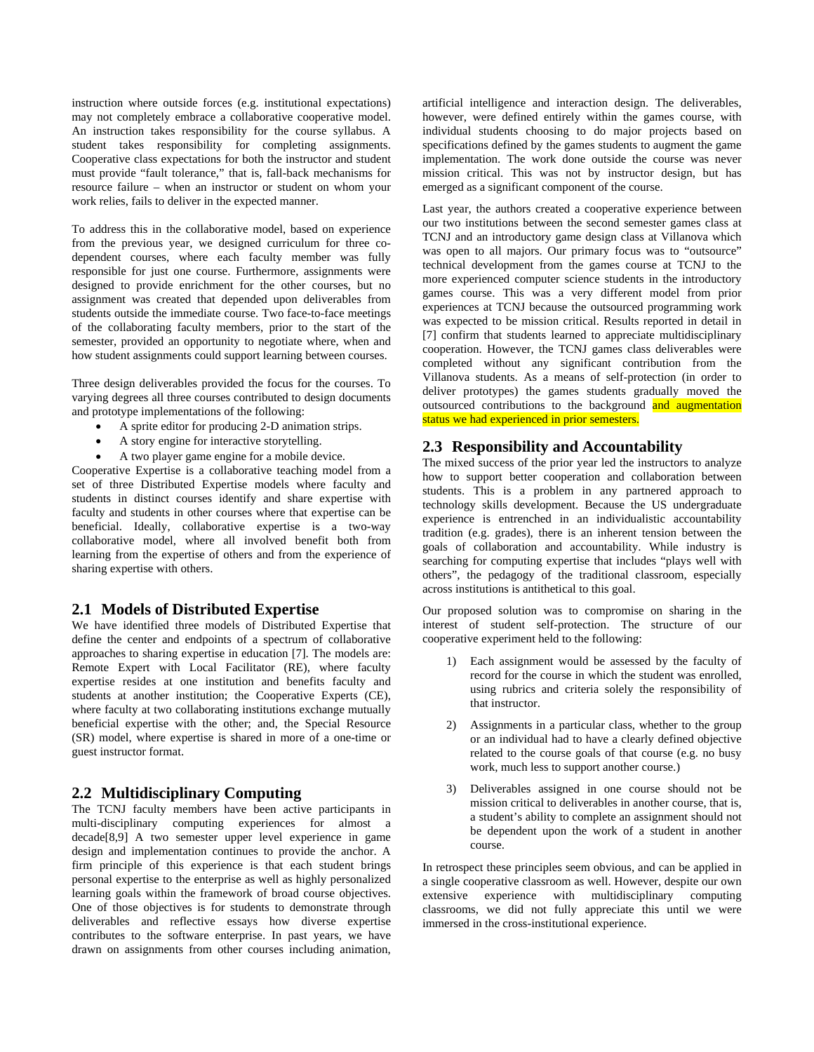instruction where outside forces (e.g. institutional expectations) may not completely embrace a collaborative cooperative model. An instruction takes responsibility for the course syllabus. A student takes responsibility for completing assignments. Cooperative class expectations for both the instructor and student must provide "fault tolerance," that is, fall-back mechanisms for resource failure – when an instructor or student on whom your work relies, fails to deliver in the expected manner.

To address this in the collaborative model, based on experience from the previous year, we designed curriculum for three codependent courses, where each faculty member was fully responsible for just one course. Furthermore, assignments were designed to provide enrichment for the other courses, but no assignment was created that depended upon deliverables from students outside the immediate course. Two face-to-face meetings of the collaborating faculty members, prior to the start of the semester, provided an opportunity to negotiate where, when and how student assignments could support learning between courses.

Three design deliverables provided the focus for the courses. To varying degrees all three courses contributed to design documents and prototype implementations of the following:

- A sprite editor for producing 2-D animation strips.
- A story engine for interactive storytelling.
- A two player game engine for a mobile device.

Cooperative Expertise is a collaborative teaching model from a set of three Distributed Expertise models where faculty and students in distinct courses identify and share expertise with faculty and students in other courses where that expertise can be beneficial. Ideally, collaborative expertise is a two-way collaborative model, where all involved benefit both from learning from the expertise of others and from the experience of sharing expertise with others.

#### **2.1 Models of Distributed Expertise**

We have identified three models of Distributed Expertise that define the center and endpoints of a spectrum of collaborative approaches to sharing expertise in education [7]. The models are: Remote Expert with Local Facilitator (RE), where faculty expertise resides at one institution and benefits faculty and students at another institution; the Cooperative Experts (CE), where faculty at two collaborating institutions exchange mutually beneficial expertise with the other; and, the Special Resource (SR) model, where expertise is shared in more of a one-time or guest instructor format.

#### **2.2 Multidisciplinary Computing**

The TCNJ faculty members have been active participants in multi-disciplinary computing experiences for almost a decade[8,9] A two semester upper level experience in game design and implementation continues to provide the anchor. A firm principle of this experience is that each student brings personal expertise to the enterprise as well as highly personalized learning goals within the framework of broad course objectives. One of those objectives is for students to demonstrate through deliverables and reflective essays how diverse expertise contributes to the software enterprise. In past years, we have drawn on assignments from other courses including animation,

artificial intelligence and interaction design. The deliverables, however, were defined entirely within the games course, with individual students choosing to do major projects based on specifications defined by the games students to augment the game implementation. The work done outside the course was never mission critical. This was not by instructor design, but has emerged as a significant component of the course.

Last year, the authors created a cooperative experience between our two institutions between the second semester games class at TCNJ and an introductory game design class at Villanova which was open to all majors. Our primary focus was to "outsource" technical development from the games course at TCNJ to the more experienced computer science students in the introductory games course. This was a very different model from prior experiences at TCNJ because the outsourced programming work was expected to be mission critical. Results reported in detail in [7] confirm that students learned to appreciate multidisciplinary cooperation. However, the TCNJ games class deliverables were completed without any significant contribution from the Villanova students. As a means of self-protection (in order to deliver prototypes) the games students gradually moved the outsourced contributions to the background and augmentation status we had experienced in prior semesters.

#### **2.3 Responsibility and Accountability**

The mixed success of the prior year led the instructors to analyze how to support better cooperation and collaboration between students. This is a problem in any partnered approach to technology skills development. Because the US undergraduate experience is entrenched in an individualistic accountability tradition (e.g. grades), there is an inherent tension between the goals of collaboration and accountability. While industry is searching for computing expertise that includes "plays well with others", the pedagogy of the traditional classroom, especially across institutions is antithetical to this goal.

Our proposed solution was to compromise on sharing in the interest of student self-protection. The structure of our cooperative experiment held to the following:

- 1) Each assignment would be assessed by the faculty of record for the course in which the student was enrolled, using rubrics and criteria solely the responsibility of that instructor.
- 2) Assignments in a particular class, whether to the group or an individual had to have a clearly defined objective related to the course goals of that course (e.g. no busy work, much less to support another course.)
- 3) Deliverables assigned in one course should not be mission critical to deliverables in another course, that is, a student's ability to complete an assignment should not be dependent upon the work of a student in another course.

In retrospect these principles seem obvious, and can be applied in a single cooperative classroom as well. However, despite our own extensive experience with multidisciplinary computing classrooms, we did not fully appreciate this until we were immersed in the cross-institutional experience.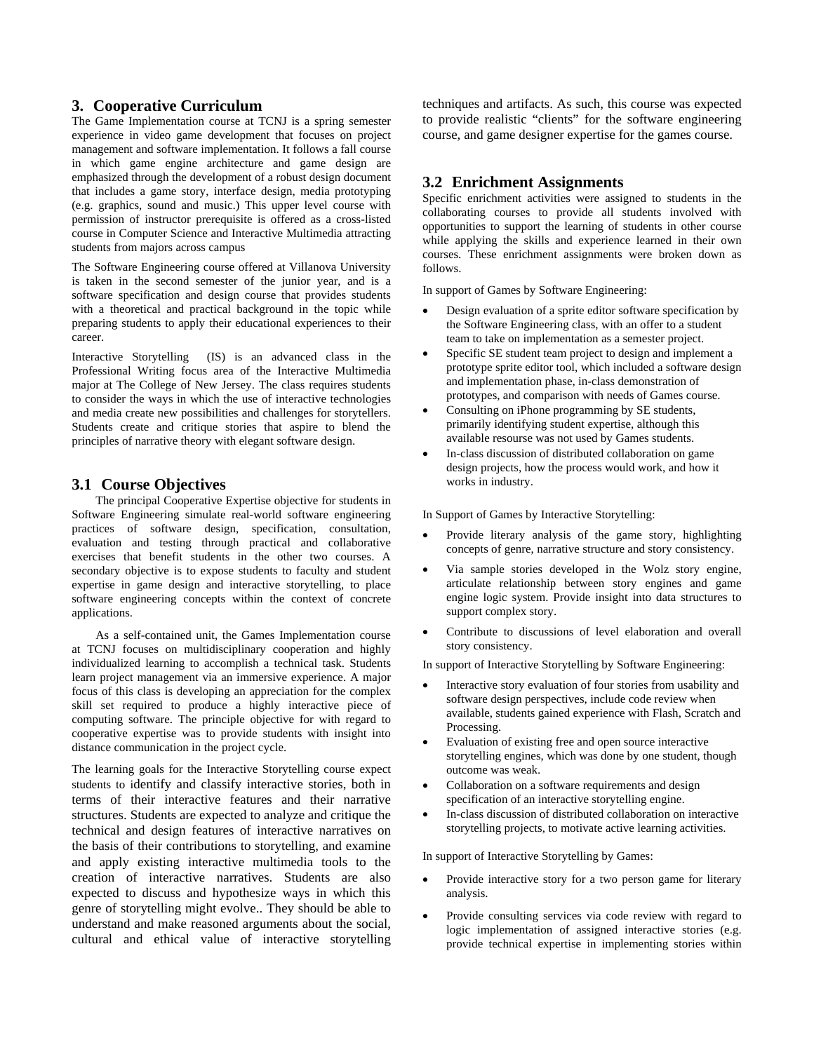## **3. Cooperative Curriculum**

The Game Implementation course at TCNJ is a spring semester experience in video game development that focuses on project management and software implementation. It follows a fall course in which game engine architecture and game design are emphasized through the development of a robust design document that includes a game story, interface design, media prototyping (e.g. graphics, sound and music.) This upper level course with permission of instructor prerequisite is offered as a cross-listed course in Computer Science and Interactive Multimedia attracting students from majors across campus

The Software Engineering course offered at Villanova University is taken in the second semester of the junior year, and is a software specification and design course that provides students with a theoretical and practical background in the topic while preparing students to apply their educational experiences to their career.

Interactive Storytelling (IS) is an advanced class in the Professional Writing focus area of the Interactive Multimedia major at The College of New Jersey. The class requires students to consider the ways in which the use of interactive technologies and media create new possibilities and challenges for storytellers. Students create and critique stories that aspire to blend the principles of narrative theory with elegant software design.

#### **3.1 Course Objectives**

The principal Cooperative Expertise objective for students in Software Engineering simulate real-world software engineering practices of software design, specification, consultation, evaluation and testing through practical and collaborative exercises that benefit students in the other two courses. A secondary objective is to expose students to faculty and student expertise in game design and interactive storytelling, to place software engineering concepts within the context of concrete applications.

As a self-contained unit, the Games Implementation course at TCNJ focuses on multidisciplinary cooperation and highly individualized learning to accomplish a technical task. Students learn project management via an immersive experience. A major focus of this class is developing an appreciation for the complex skill set required to produce a highly interactive piece of computing software. The principle objective for with regard to cooperative expertise was to provide students with insight into distance communication in the project cycle.

The learning goals for the Interactive Storytelling course expect students to identify and classify interactive stories, both in terms of their interactive features and their narrative structures. Students are expected to analyze and critique the technical and design features of interactive narratives on the basis of their contributions to storytelling, and examine and apply existing interactive multimedia tools to the creation of interactive narratives. Students are also expected to discuss and hypothesize ways in which this genre of storytelling might evolve.. They should be able to understand and make reasoned arguments about the social, cultural and ethical value of interactive storytelling techniques and artifacts. As such, this course was expected to provide realistic "clients" for the software engineering course, and game designer expertise for the games course.

# **3.2 Enrichment Assignments**

Specific enrichment activities were assigned to students in the collaborating courses to provide all students involved with opportunities to support the learning of students in other course while applying the skills and experience learned in their own courses. These enrichment assignments were broken down as follows.

In support of Games by Software Engineering:

- Design evaluation of a sprite editor software specification by the Software Engineering class, with an offer to a student team to take on implementation as a semester project.
- Specific SE student team project to design and implement a prototype sprite editor tool, which included a software design and implementation phase, in-class demonstration of prototypes, and comparison with needs of Games course.
- Consulting on iPhone programming by SE students, primarily identifying student expertise, although this available resourse was not used by Games students.
- In-class discussion of distributed collaboration on game design projects, how the process would work, and how it works in industry.

In Support of Games by Interactive Storytelling:

- Provide literary analysis of the game story, highlighting concepts of genre, narrative structure and story consistency.
- Via sample stories developed in the Wolz story engine, articulate relationship between story engines and game engine logic system. Provide insight into data structures to support complex story.
- Contribute to discussions of level elaboration and overall story consistency.

In support of Interactive Storytelling by Software Engineering:

- Interactive story evaluation of four stories from usability and software design perspectives, include code review when available, students gained experience with Flash, Scratch and Processing.
- Evaluation of existing free and open source interactive storytelling engines, which was done by one student, though outcome was weak.
- Collaboration on a software requirements and design specification of an interactive storytelling engine.
- In-class discussion of distributed collaboration on interactive storytelling projects, to motivate active learning activities.

In support of Interactive Storytelling by Games:

- Provide interactive story for a two person game for literary analysis.
- Provide consulting services via code review with regard to logic implementation of assigned interactive stories (e.g. provide technical expertise in implementing stories within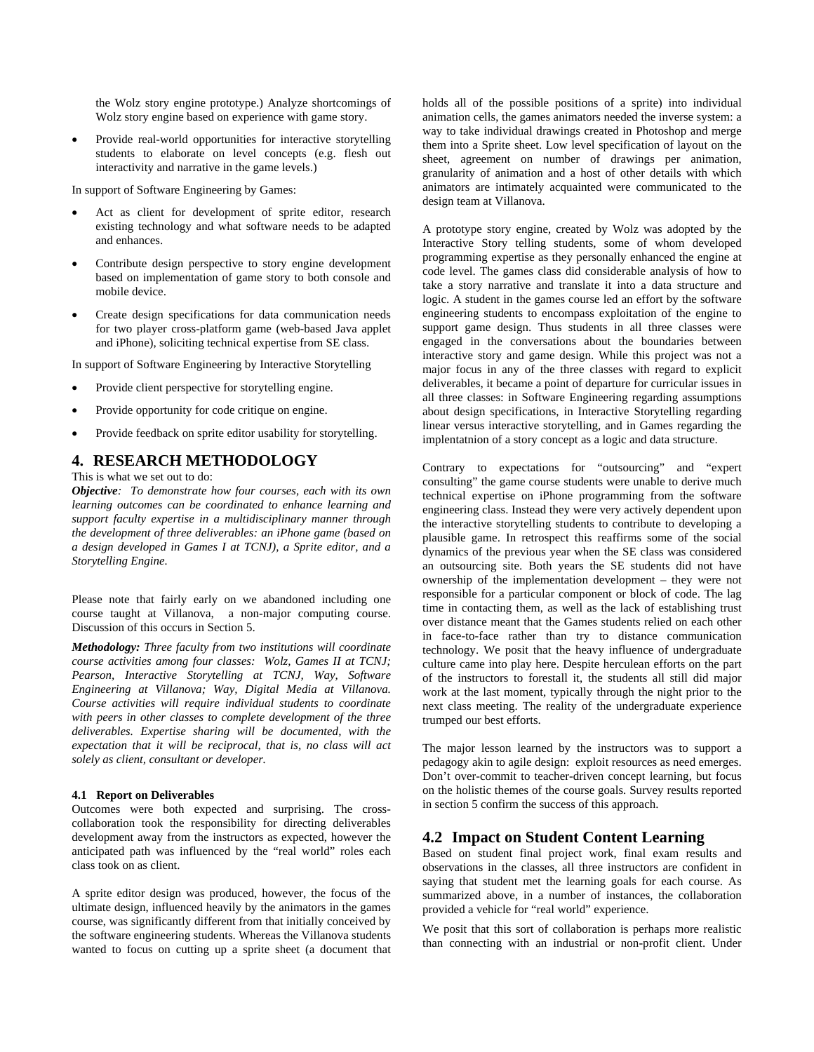the Wolz story engine prototype.) Analyze shortcomings of Wolz story engine based on experience with game story.

• Provide real-world opportunities for interactive storytelling students to elaborate on level concepts (e.g. flesh out interactivity and narrative in the game levels.)

In support of Software Engineering by Games:

- Act as client for development of sprite editor, research existing technology and what software needs to be adapted and enhances.
- Contribute design perspective to story engine development based on implementation of game story to both console and mobile device.
- Create design specifications for data communication needs for two player cross-platform game (web-based Java applet and iPhone), soliciting technical expertise from SE class.

In support of Software Engineering by Interactive Storytelling

- Provide client perspective for storytelling engine.
- Provide opportunity for code critique on engine.
- Provide feedback on sprite editor usability for storytelling.

#### **4. RESEARCH METHODOLOGY**

This is what we set out to do:

*Objective: To demonstrate how four courses, each with its own learning outcomes can be coordinated to enhance learning and support faculty expertise in a multidisciplinary manner through the development of three deliverables: an iPhone game (based on a design developed in Games I at TCNJ), a Sprite editor, and a Storytelling Engine.* 

Please note that fairly early on we abandoned including one course taught at Villanova, a non-major computing course. Discussion of this occurs in Section 5.

*Methodology: Three faculty from two institutions will coordinate course activities among four classes: Wolz, Games II at TCNJ; Pearson, Interactive Storytelling at TCNJ, Way, Software Engineering at Villanova; Way, Digital Media at Villanova. Course activities will require individual students to coordinate with peers in other classes to complete development of the three deliverables. Expertise sharing will be documented, with the expectation that it will be reciprocal, that is, no class will act solely as client, consultant or developer.* 

#### **4.1 Report on Deliverables**

Outcomes were both expected and surprising. The crosscollaboration took the responsibility for directing deliverables development away from the instructors as expected, however the anticipated path was influenced by the "real world" roles each class took on as client.

A sprite editor design was produced, however, the focus of the ultimate design, influenced heavily by the animators in the games course, was significantly different from that initially conceived by the software engineering students. Whereas the Villanova students wanted to focus on cutting up a sprite sheet (a document that holds all of the possible positions of a sprite) into individual animation cells, the games animators needed the inverse system: a way to take individual drawings created in Photoshop and merge them into a Sprite sheet. Low level specification of layout on the sheet, agreement on number of drawings per animation, granularity of animation and a host of other details with which animators are intimately acquainted were communicated to the design team at Villanova.

A prototype story engine, created by Wolz was adopted by the Interactive Story telling students, some of whom developed programming expertise as they personally enhanced the engine at code level. The games class did considerable analysis of how to take a story narrative and translate it into a data structure and logic. A student in the games course led an effort by the software engineering students to encompass exploitation of the engine to support game design. Thus students in all three classes were engaged in the conversations about the boundaries between interactive story and game design. While this project was not a major focus in any of the three classes with regard to explicit deliverables, it became a point of departure for curricular issues in all three classes: in Software Engineering regarding assumptions about design specifications, in Interactive Storytelling regarding linear versus interactive storytelling, and in Games regarding the implentatnion of a story concept as a logic and data structure.

Contrary to expectations for "outsourcing" and "expert consulting" the game course students were unable to derive much technical expertise on iPhone programming from the software engineering class. Instead they were very actively dependent upon the interactive storytelling students to contribute to developing a plausible game. In retrospect this reaffirms some of the social dynamics of the previous year when the SE class was considered an outsourcing site. Both years the SE students did not have ownership of the implementation development – they were not responsible for a particular component or block of code. The lag time in contacting them, as well as the lack of establishing trust over distance meant that the Games students relied on each other in face-to-face rather than try to distance communication technology. We posit that the heavy influence of undergraduate culture came into play here. Despite herculean efforts on the part of the instructors to forestall it, the students all still did major work at the last moment, typically through the night prior to the next class meeting. The reality of the undergraduate experience trumped our best efforts.

The major lesson learned by the instructors was to support a pedagogy akin to agile design: exploit resources as need emerges. Don't over-commit to teacher-driven concept learning, but focus on the holistic themes of the course goals. Survey results reported in section 5 confirm the success of this approach.

#### **4.2 Impact on Student Content Learning**

Based on student final project work, final exam results and observations in the classes, all three instructors are confident in saying that student met the learning goals for each course. As summarized above, in a number of instances, the collaboration provided a vehicle for "real world" experience.

We posit that this sort of collaboration is perhaps more realistic than connecting with an industrial or non-profit client. Under